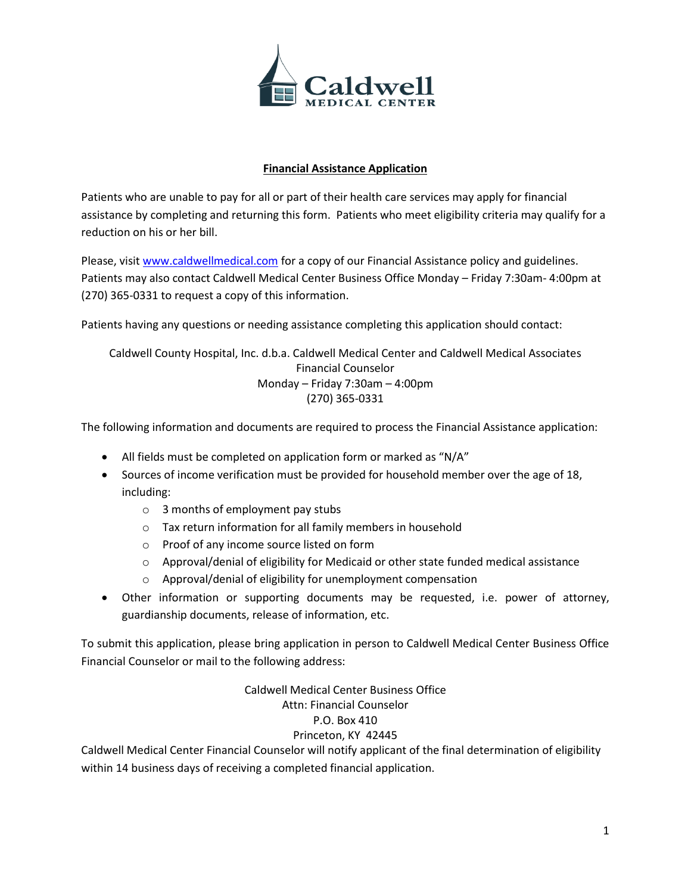

#### **Financial Assistance Application**

Patients who are unable to pay for all or part of their health care services may apply for financial assistance by completing and returning this form. Patients who meet eligibility criteria may qualify for a reduction on his or her bill.

Please, visi[t www.caldwellmedical.com](http://www.caldwellmedical.com/) for a copy of our Financial Assistance policy and guidelines. Patients may also contact Caldwell Medical Center Business Office Monday – Friday 7:30am- 4:00pm at (270) 365-0331 to request a copy of this information.

Patients having any questions or needing assistance completing this application should contact:

Caldwell County Hospital, Inc. d.b.a. Caldwell Medical Center and Caldwell Medical Associates Financial Counselor Monday – Friday 7:30am – 4:00pm (270) 365-0331

The following information and documents are required to process the Financial Assistance application:

- All fields must be completed on application form or marked as "N/A"
- Sources of income verification must be provided for household member over the age of 18, including:
	- o 3 months of employment pay stubs
	- o Tax return information for all family members in household
	- o Proof of any income source listed on form
	- $\circ$  Approval/denial of eligibility for Medicaid or other state funded medical assistance
	- o Approval/denial of eligibility for unemployment compensation
- Other information or supporting documents may be requested, i.e. power of attorney, guardianship documents, release of information, etc.

To submit this application, please bring application in person to Caldwell Medical Center Business Office Financial Counselor or mail to the following address:

> Caldwell Medical Center Business Office Attn: Financial Counselor P.O. Box 410

#### Princeton, KY 42445

Caldwell Medical Center Financial Counselor will notify applicant of the final determination of eligibility within 14 business days of receiving a completed financial application.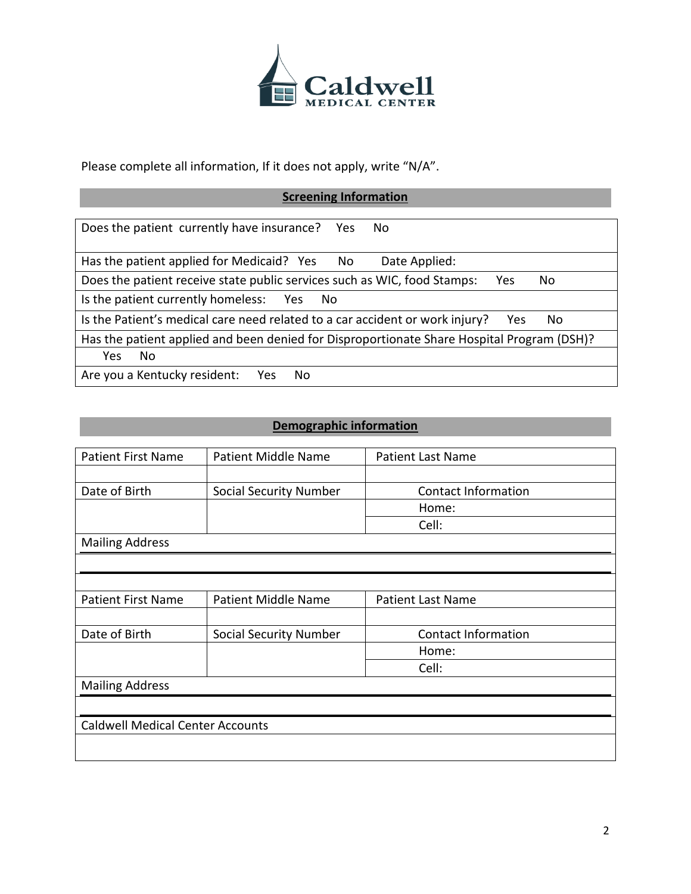

Please complete all information, If it does not apply, write "N/A".

# **Screening Information**

| Does the patient currently have insurance? Yes<br>No.                                      |  |
|--------------------------------------------------------------------------------------------|--|
| Has the patient applied for Medicaid? Yes No<br>Date Applied:                              |  |
| Does the patient receive state public services such as WIC, food Stamps:<br>Yes<br>No      |  |
| Is the patient currently homeless: Yes<br>- No                                             |  |
| Is the Patient's medical care need related to a car accident or work injury?<br>No.<br>Yes |  |
| Has the patient applied and been denied for Disproportionate Share Hospital Program (DSH)? |  |
| No.<br>Yes                                                                                 |  |
| Are you a Kentucky resident:<br>Yes<br>No.                                                 |  |

## **Demographic information**

| <b>Patient First Name</b>               | <b>Patient Middle Name</b> | <b>Patient Last Name</b>   |
|-----------------------------------------|----------------------------|----------------------------|
|                                         |                            |                            |
| Date of Birth                           | Social Security Number     | <b>Contact Information</b> |
|                                         |                            | Home:                      |
|                                         |                            | Cell:                      |
| <b>Mailing Address</b>                  |                            |                            |
|                                         |                            |                            |
|                                         |                            |                            |
| <b>Patient First Name</b>               | <b>Patient Middle Name</b> | <b>Patient Last Name</b>   |
|                                         |                            |                            |
| Date of Birth                           | Social Security Number     | <b>Contact Information</b> |
|                                         |                            | Home:                      |
|                                         |                            | Cell:                      |
| <b>Mailing Address</b>                  |                            |                            |
|                                         |                            |                            |
| <b>Caldwell Medical Center Accounts</b> |                            |                            |
|                                         |                            |                            |
|                                         |                            |                            |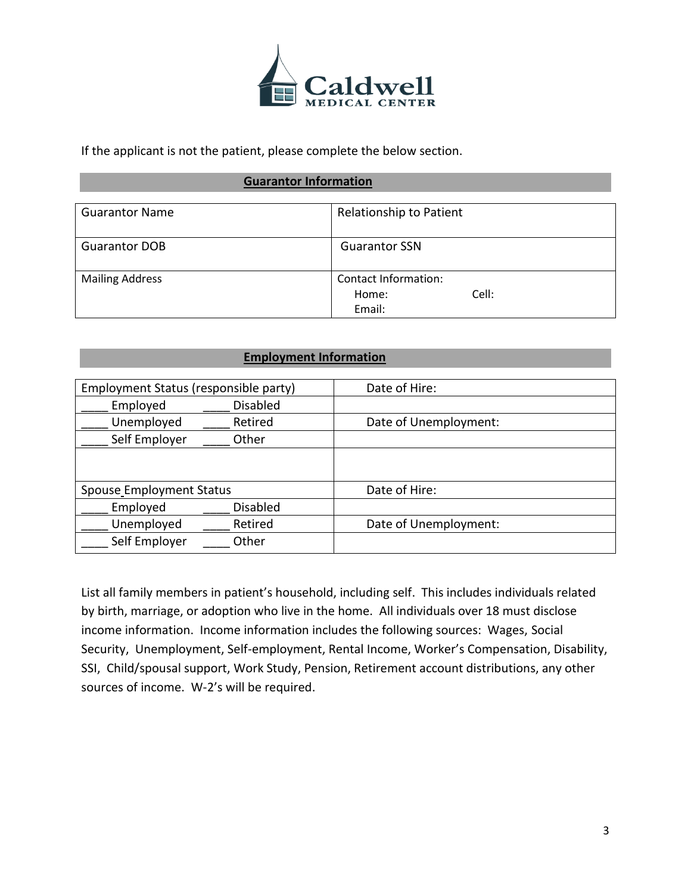

If the applicant is not the patient, please complete the below section.

#### **Guarantor Information**

| <b>Guarantor Name</b>  | Relationship to Patient                          |
|------------------------|--------------------------------------------------|
| <b>Guarantor DOB</b>   | <b>Guarantor SSN</b>                             |
| <b>Mailing Address</b> | Contact Information:<br>Cell:<br>Home:<br>Email: |

#### **Employment Information**

| Employment Status (responsible party) |                 | Date of Hire:         |
|---------------------------------------|-----------------|-----------------------|
| Employed                              | Disabled        |                       |
| Unemployed                            | Retired         | Date of Unemployment: |
| Self Employer                         | Other           |                       |
|                                       |                 |                       |
|                                       |                 |                       |
| Spouse_Employment Status              |                 | Date of Hire:         |
| Employed                              | <b>Disabled</b> |                       |
| Unemployed                            | Retired         | Date of Unemployment: |
| Self Employer                         | Other           |                       |

List all family members in patient's household, including self. This includes individuals related by birth, marriage, or adoption who live in the home. All individuals over 18 must disclose income information. Income information includes the following sources: Wages, Social Security, Unemployment, Self-employment, Rental Income, Worker's Compensation, Disability, SSI, Child/spousal support, Work Study, Pension, Retirement account distributions, any other sources of income. W-2's will be required.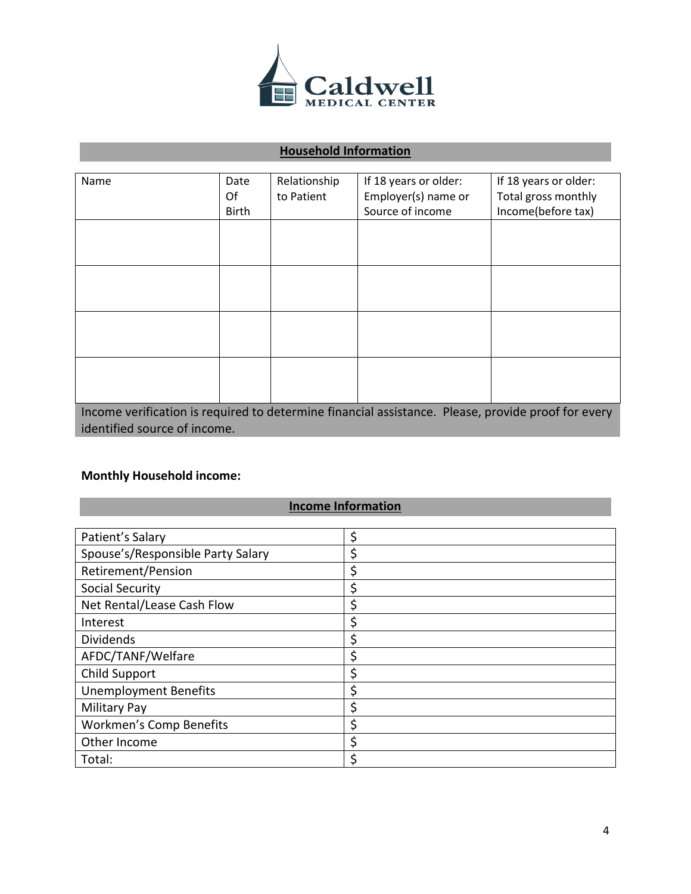

## **Household Information**

| Name                                                                                               | Date  | Relationship | If 18 years or older: | If 18 years or older: |
|----------------------------------------------------------------------------------------------------|-------|--------------|-----------------------|-----------------------|
|                                                                                                    | Of    | to Patient   | Employer(s) name or   | Total gross monthly   |
|                                                                                                    | Birth |              | Source of income      | Income(before tax)    |
|                                                                                                    |       |              |                       |                       |
|                                                                                                    |       |              |                       |                       |
|                                                                                                    |       |              |                       |                       |
|                                                                                                    |       |              |                       |                       |
|                                                                                                    |       |              |                       |                       |
|                                                                                                    |       |              |                       |                       |
|                                                                                                    |       |              |                       |                       |
|                                                                                                    |       |              |                       |                       |
|                                                                                                    |       |              |                       |                       |
|                                                                                                    |       |              |                       |                       |
|                                                                                                    |       |              |                       |                       |
|                                                                                                    |       |              |                       |                       |
| Income verification is required to determine financial assistance. Please, provide proof for every |       |              |                       |                       |
| identified source of income.                                                                       |       |              |                       |                       |

## **Monthly Household income:**

# **Income Information**

| Patient's Salary                  | \$ |
|-----------------------------------|----|
| Spouse's/Responsible Party Salary | \$ |
| Retirement/Pension                | \$ |
| Social Security                   | \$ |
| Net Rental/Lease Cash Flow        | \$ |
| Interest                          | \$ |
| <b>Dividends</b>                  | \$ |
| AFDC/TANF/Welfare                 | \$ |
| Child Support                     | \$ |
| <b>Unemployment Benefits</b>      | \$ |
| <b>Military Pay</b>               | \$ |
| <b>Workmen's Comp Benefits</b>    | \$ |
| Other Income                      | \$ |
| Total:                            | \$ |